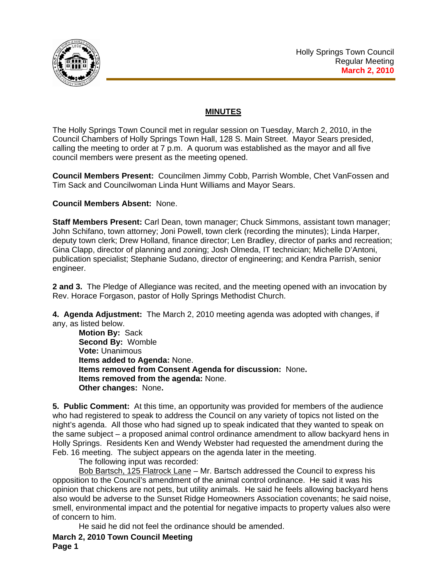

## **MINUTES**

The Holly Springs Town Council met in regular session on Tuesday, March 2, 2010, in the Council Chambers of Holly Springs Town Hall, 128 S. Main Street. Mayor Sears presided, calling the meeting to order at 7 p.m. A quorum was established as the mayor and all five council members were present as the meeting opened.

**Council Members Present:** Councilmen Jimmy Cobb, Parrish Womble, Chet VanFossen and Tim Sack and Councilwoman Linda Hunt Williams and Mayor Sears.

## **Council Members Absent:** None.

**Staff Members Present:** Carl Dean, town manager; Chuck Simmons, assistant town manager; John Schifano, town attorney; Joni Powell, town clerk (recording the minutes); Linda Harper, deputy town clerk; Drew Holland, finance director; Len Bradley, director of parks and recreation; Gina Clapp, director of planning and zoning; Josh Olmeda, IT technician; Michelle D'Antoni, publication specialist; Stephanie Sudano, director of engineering; and Kendra Parrish, senior engineer.

**2 and 3.** The Pledge of Allegiance was recited, and the meeting opened with an invocation by Rev. Horace Forgason, pastor of Holly Springs Methodist Church.

**4. Agenda Adjustment:** The March 2, 2010 meeting agenda was adopted with changes, if any, as listed below.

**Motion By:** Sack **Second By:** Womble **Vote:** Unanimous **Items added to Agenda:** None. **Items removed from Consent Agenda for discussion:** None**. Items removed from the agenda:** None. **Other changes:** None**.** 

**5. Public Comment:** At this time, an opportunity was provided for members of the audience who had registered to speak to address the Council on any variety of topics not listed on the night's agenda. All those who had signed up to speak indicated that they wanted to speak on the same subject – a proposed animal control ordinance amendment to allow backyard hens in Holly Springs. Residents Ken and Wendy Webster had requested the amendment during the Feb. 16 meeting. The subject appears on the agenda later in the meeting.

The following input was recorded:

Bob Bartsch, 125 Flatrock Lane - Mr. Bartsch addressed the Council to express his opposition to the Council's amendment of the animal control ordinance. He said it was his opinion that chickens are not pets, but utility animals. He said he feels allowing backyard hens also would be adverse to the Sunset Ridge Homeowners Association covenants; he said noise, smell, environmental impact and the potential for negative impacts to property values also were of concern to him.

He said he did not feel the ordinance should be amended.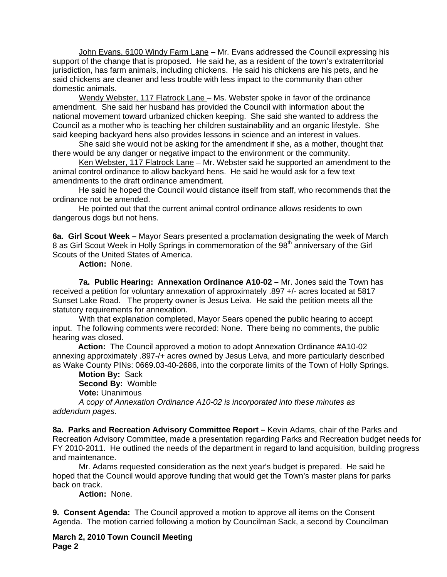John Evans, 6100 Windy Farm Lane – Mr. Evans addressed the Council expressing his support of the change that is proposed. He said he, as a resident of the town's extraterritorial jurisdiction, has farm animals, including chickens. He said his chickens are his pets, and he said chickens are cleaner and less trouble with less impact to the community than other domestic animals.

 Wendy Webster, 117 Flatrock Lane – Ms. Webster spoke in favor of the ordinance amendment. She said her husband has provided the Council with information about the national movement toward urbanized chicken keeping. She said she wanted to address the Council as a mother who is teaching her children sustainability and an organic lifestyle. She said keeping backyard hens also provides lessons in science and an interest in values.

 She said she would not be asking for the amendment if she, as a mother, thought that there would be any danger or negative impact to the environment or the community.

Ken Webster, 117 Flatrock Lane – Mr. Webster said he supported an amendment to the animal control ordinance to allow backyard hens. He said he would ask for a few text amendments to the draft ordinance amendment.

 He said he hoped the Council would distance itself from staff, who recommends that the ordinance not be amended.

 He pointed out that the current animal control ordinance allows residents to own dangerous dogs but not hens.

**6a. Girl Scout Week –** Mayor Sears presented a proclamation designating the week of March 8 as Girl Scout Week in Holly Springs in commemoration of the 98<sup>th</sup> anniversary of the Girl Scouts of the United States of America.

**Action:** None.

**7a. Public Hearing: Annexation Ordinance A10-02 –** Mr. Jones said the Town has received a petition for voluntary annexation of approximately .897 +/- acres located at 5817 Sunset Lake Road. The property owner is Jesus Leiva. He said the petition meets all the statutory requirements for annexation.

With that explanation completed, Mayor Sears opened the public hearing to accept input. The following comments were recorded: None. There being no comments, the public hearing was closed.

 **Action:** The Council approved a motion to adopt Annexation Ordinance #A10-02 annexing approximately .897-/+ acres owned by Jesus Leiva, and more particularly described as Wake County PINs: 0669.03-40-2686, into the corporate limits of the Town of Holly Springs.

**Motion By:** Sack **Second By:** Womble **Vote:** Unanimous

 *A* c*opy of Annexation Ordinance A10-02 is incorporated into these minutes as addendum pages.*

**8a. Parks and Recreation Advisory Committee Report –** Kevin Adams, chair of the Parks and Recreation Advisory Committee, made a presentation regarding Parks and Recreation budget needs for FY 2010-2011. He outlined the needs of the department in regard to land acquisition, building progress and maintenance.

Mr. Adams requested consideration as the next year's budget is prepared. He said he hoped that the Council would approve funding that would get the Town's master plans for parks back on track.

**Action:** None.

**9. Consent Agenda:** The Council approved a motion to approve all items on the Consent Agenda. The motion carried following a motion by Councilman Sack, a second by Councilman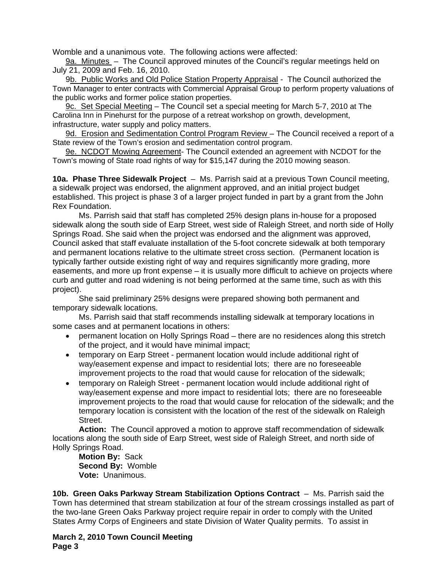Womble and a unanimous vote. The following actions were affected:

9a. Minutes – The Council approved minutes of the Council's regular meetings held on July 21, 2009 and Feb. 16, 2010.

9b. Public Works and Old Police Station Property Appraisal - The Council authorized the Town Manager to enter contracts with Commercial Appraisal Group to perform property valuations of the public works and former police station properties.

9c. Set Special Meeting – The Council set a special meeting for March 5-7, 2010 at The Carolina Inn in Pinehurst for the purpose of a retreat workshop on growth, development, infrastructure, water supply and policy matters.

9d. Erosion and Sedimentation Control Program Review - The Council received a report of a State review of the Town's erosion and sedimentation control program.

9e. NCDOT Mowing Agreement- The Council extended an agreement with NCDOT for the Town's mowing of State road rights of way for \$15,147 during the 2010 mowing season.

**10a. Phase Three Sidewalk Project** – Ms. Parrish said at a previous Town Council meeting, a sidewalk project was endorsed, the alignment approved, and an initial project budget established. This project is phase 3 of a larger project funded in part by a grant from the John Rex Foundation.

Ms. Parrish said that staff has completed 25% design plans in-house for a proposed sidewalk along the south side of Earp Street, west side of Raleigh Street, and north side of Holly Springs Road. She said when the project was endorsed and the alignment was approved, Council asked that staff evaluate installation of the 5-foot concrete sidewalk at both temporary and permanent locations relative to the ultimate street cross section. (Permanent location is typically farther outside existing right of way and requires significantly more grading, more easements, and more up front expense – it is usually more difficult to achieve on projects where curb and gutter and road widening is not being performed at the same time, such as with this project).

She said preliminary 25% designs were prepared showing both permanent and temporary sidewalk locations.

Ms. Parrish said that staff recommends installing sidewalk at temporary locations in some cases and at permanent locations in others:

- permanent location on Holly Springs Road there are no residences along this stretch of the project, and it would have minimal impact;
- temporary on Earp Street permanent location would include additional right of way/easement expense and impact to residential lots; there are no foreseeable improvement projects to the road that would cause for relocation of the sidewalk;
- temporary on Raleigh Street permanent location would include additional right of way/easement expense and more impact to residential lots; there are no foreseeable improvement projects to the road that would cause for relocation of the sidewalk; and the temporary location is consistent with the location of the rest of the sidewalk on Raleigh Street.

**Action:** The Council approved a motion to approve staff recommendation of sidewalk locations along the south side of Earp Street, west side of Raleigh Street, and north side of Holly Springs Road.

**Motion By:** Sack **Second By:** Womble **Vote:** Unanimous.

**10b. Green Oaks Parkway Stream Stabilization Options Contract** – Ms. Parrish said the Town has determined that stream stabilization at four of the stream crossings installed as part of the two-lane Green Oaks Parkway project require repair in order to comply with the United States Army Corps of Engineers and state Division of Water Quality permits. To assist in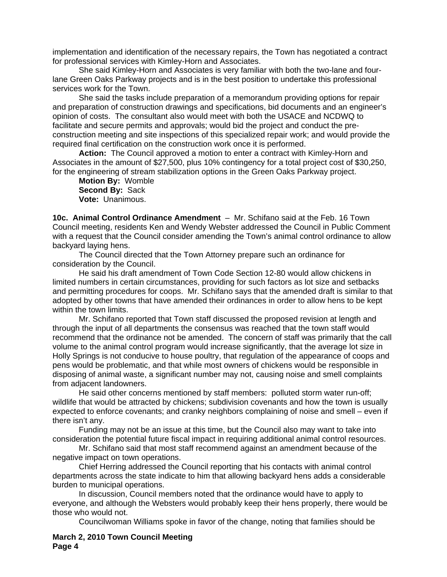implementation and identification of the necessary repairs, the Town has negotiated a contract for professional services with Kimley-Horn and Associates.

She said Kimley-Horn and Associates is very familiar with both the two-lane and fourlane Green Oaks Parkway projects and is in the best position to undertake this professional services work for the Town.

She said the tasks include preparation of a memorandum providing options for repair and preparation of construction drawings and specifications, bid documents and an engineer's opinion of costs. The consultant also would meet with both the USACE and NCDWQ to facilitate and secure permits and approvals; would bid the project and conduct the preconstruction meeting and site inspections of this specialized repair work; and would provide the required final certification on the construction work once it is performed.

**Action:** The Council approved a motion to enter a contract with Kimley-Horn and Associates in the amount of \$27,500, plus 10% contingency for a total project cost of \$30,250, for the engineering of stream stabilization options in the Green Oaks Parkway project.

**Motion By:** Womble **Second By:** Sack **Vote:** Unanimous.

**10c. Animal Control Ordinance Amendment** – Mr. Schifano said at the Feb. 16 Town Council meeting, residents Ken and Wendy Webster addressed the Council in Public Comment with a request that the Council consider amending the Town's animal control ordinance to allow backyard laying hens.

 The Council directed that the Town Attorney prepare such an ordinance for consideration by the Council.

 He said his draft amendment of Town Code Section 12-80 would allow chickens in limited numbers in certain circumstances, providing for such factors as lot size and setbacks and permitting procedures for coops. Mr. Schifano says that the amended draft is similar to that adopted by other towns that have amended their ordinances in order to allow hens to be kept within the town limits.

 Mr. Schifano reported that Town staff discussed the proposed revision at length and through the input of all departments the consensus was reached that the town staff would recommend that the ordinance not be amended. The concern of staff was primarily that the call volume to the animal control program would increase significantly, that the average lot size in Holly Springs is not conducive to house poultry, that regulation of the appearance of coops and pens would be problematic, and that while most owners of chickens would be responsible in disposing of animal waste, a significant number may not, causing noise and smell complaints from adjacent landowners.

 He said other concerns mentioned by staff members: polluted storm water run-off; wildlife that would be attracted by chickens; subdivision covenants and how the town is usually expected to enforce covenants; and cranky neighbors complaining of noise and smell – even if there isn't any.

 Funding may not be an issue at this time, but the Council also may want to take into consideration the potential future fiscal impact in requiring additional animal control resources.

Mr. Schifano said that most staff recommend against an amendment because of the negative impact on town operations.

Chief Herring addressed the Council reporting that his contacts with animal control departments across the state indicate to him that allowing backyard hens adds a considerable burden to municipal operations.

In discussion, Council members noted that the ordinance would have to apply to everyone, and although the Websters would probably keep their hens properly, there would be those who would not.

Councilwoman Williams spoke in favor of the change, noting that families should be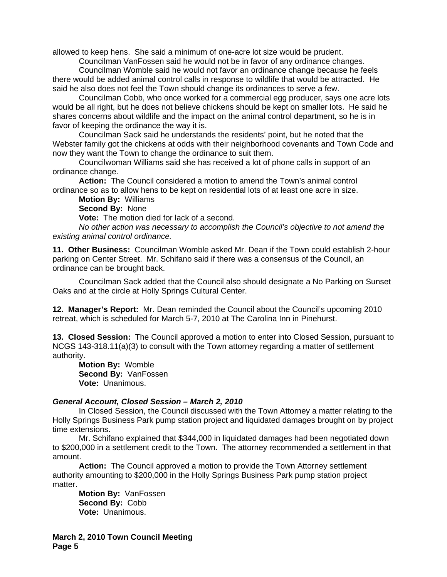allowed to keep hens. She said a minimum of one-acre lot size would be prudent.

Councilman VanFossen said he would not be in favor of any ordinance changes.

Councilman Womble said he would not favor an ordinance change because he feels there would be added animal control calls in response to wildlife that would be attracted. He said he also does not feel the Town should change its ordinances to serve a few.

Councilman Cobb, who once worked for a commercial egg producer, says one acre lots would be all right, but he does not believe chickens should be kept on smaller lots. He said he shares concerns about wildlife and the impact on the animal control department, so he is in favor of keeping the ordinance the way it is.

Councilman Sack said he understands the residents' point, but he noted that the Webster family got the chickens at odds with their neighborhood covenants and Town Code and now they want the Town to change the ordinance to suit them.

Councilwoman Williams said she has received a lot of phone calls in support of an ordinance change.

**Action:** The Council considered a motion to amend the Town's animal control ordinance so as to allow hens to be kept on residential lots of at least one acre in size.

**Motion By:** Williams

**Second By:** None

**Vote:** The motion died for lack of a second.

*No other action was necessary to accomplish the Council's objective to not amend the existing animal control ordinance.* 

**11. Other Business:** Councilman Womble asked Mr. Dean if the Town could establish 2-hour parking on Center Street. Mr. Schifano said if there was a consensus of the Council, an ordinance can be brought back.

 Councilman Sack added that the Council also should designate a No Parking on Sunset Oaks and at the circle at Holly Springs Cultural Center.

**12. Manager's Report:** Mr. Dean reminded the Council about the Council's upcoming 2010 retreat, which is scheduled for March 5-7, 2010 at The Carolina Inn in Pinehurst.

**13. Closed Session:** The Council approved a motion to enter into Closed Session, pursuant to NCGS 143-318.11(a)(3) to consult with the Town attorney regarding a matter of settlement authority.

**Motion By:** Womble **Second By:** VanFossen **Vote:** Unanimous.

## *General Account, Closed Session – March 2, 2010*

 In Closed Session, the Council discussed with the Town Attorney a matter relating to the Holly Springs Business Park pump station project and liquidated damages brought on by project time extensions.

 Mr. Schifano explained that \$344,000 in liquidated damages had been negotiated down to \$200,000 in a settlement credit to the Town. The attorney recommended a settlement in that amount.

**Action:** The Council approved a motion to provide the Town Attorney settlement authority amounting to \$200,000 in the Holly Springs Business Park pump station project matter.

**Motion By:** VanFossen **Second By:** Cobb **Vote:** Unanimous.